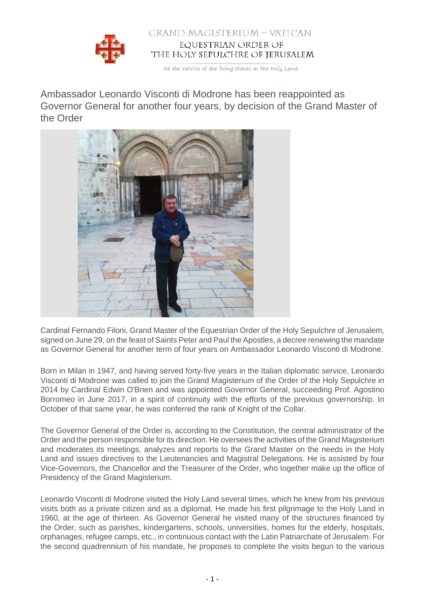

## GRAND MAGISTERIUM - VATICAN EQUESTRIAN ORDER OF THE HOLY SEPULCHRE OF JERUSALEM

At the service of the living stones in the Holy Land

Ambassador Leonardo Visconti di Modrone has been reappointed as Governor General for another four years, by decision of the Grand Master of the Order



Cardinal Fernando Filoni, Grand Master of the Equestrian Order of the Holy Sepulchre of Jerusalem, signed on June 29, on the feast of Saints Peter and Paul the Apostles, a decree renewing the mandate as Governor General for another term of four years on Ambassador Leonardo Visconti di Modrone.

Born in Milan in 1947, and having served forty-five years in the Italian diplomatic service, Leonardo Visconti di Modrone was called to join the Grand Magisterium of the Order of the Holy Sepulchre in 2014 by Cardinal Edwin O'Brien and was appointed Governor General, succeeding Prof. Agostino Borromeo in June 2017, in a spirit of continuity with the efforts of the previous governorship. In October of that same year, he was conferred the rank of Knight of the Collar.

The Governor General of the Order is, according to the Constitution, the central administrator of the Order and the person responsible for its direction. He oversees the activities of the Grand Magisterium and moderates its meetings, analyzes and reports to the Grand Master on the needs in the Holy Land and issues directives to the Lieutenancies and Magistral Delegations. He is assisted by four Vice-Governors, the Chancellor and the Treasurer of the Order, who together make up the office of Presidency of the Grand Magisterium.

Leonardo Visconti di Modrone visited the Holy Land several times, which he knew from his previous visits both as a private citizen and as a diplomat. He made his first pilgrimage to the Holy Land in 1960, at the age of thirteen. As Governor General he visited many of the structures financed by the Order, such as parishes, kindergartens, schools, universities, homes for the elderly, hospitals, orphanages, refugee camps, etc., in continuous contact with the Latin Patriarchate of Jerusalem. For the second quadrennium of his mandate, he proposes to complete the visits begun to the various